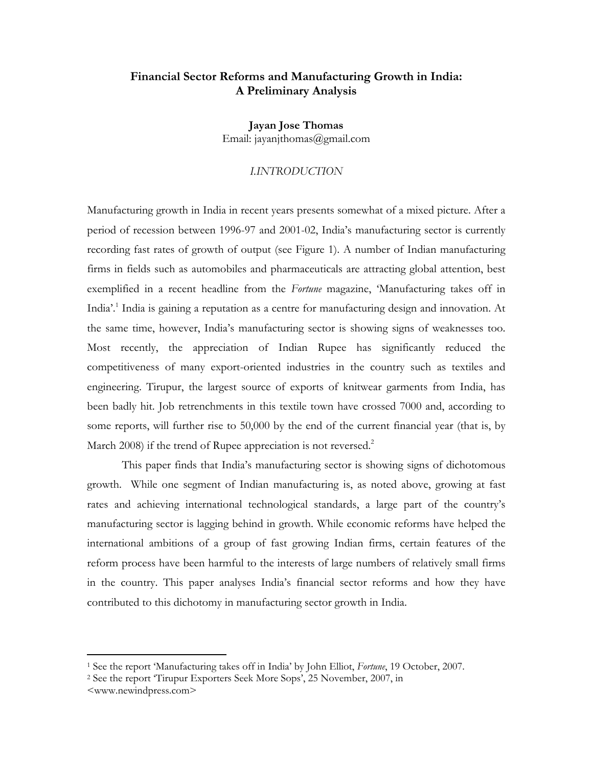### **Financial Sector Reforms and Manufacturing Growth in India: A Preliminary Analysis**

**Jayan Jose Thomas**  Email: jayanjthomas@gmail.com

### *I.INTRODUCTION*

Manufacturing growth in India in recent years presents somewhat of a mixed picture. After a period of recession between 1996-97 and 2001-02, India's manufacturing sector is currently recording fast rates of growth of output (see Figure 1). A number of Indian manufacturing firms in fields such as automobiles and pharmaceuticals are attracting global attention, best exemplified in a recent headline from the *Fortune* magazine, 'Manufacturing takes off in India'.<sup>1</sup> India is gaining a reputation as a centre for manufacturing design and innovation. At the same time, however, India's manufacturing sector is showing signs of weaknesses too. Most recently, the appreciation of Indian Rupee has significantly reduced the competitiveness of many export-oriented industries in the country such as textiles and engineering. Tirupur, the largest source of exports of knitwear garments from India, has been badly hit. Job retrenchments in this textile town have crossed 7000 and, according to some reports, will further rise to 50,000 by the end of the current financial year (that is, by March 2008) if the trend of Rupee appreciation is not reversed.<sup>2</sup>

This paper finds that India's manufacturing sector is showing signs of dichotomous growth. While one segment of Indian manufacturing is, as noted above, growing at fast rates and achieving international technological standards, a large part of the country's manufacturing sector is lagging behind in growth. While economic reforms have helped the international ambitions of a group of fast growing Indian firms, certain features of the reform process have been harmful to the interests of large numbers of relatively small firms in the country. This paper analyses India's financial sector reforms and how they have contributed to this dichotomy in manufacturing sector growth in India.

 $\overline{a}$ 

<sup>&</sup>lt;sup>1</sup> See the report 'Manufacturing takes off in India' by John Elliot, *Fortune*, 19 October, 2007.<br><sup>2</sup> See the report 'Tirupur Exporters Seek More Sops', 25 November, 2007, in

<sup>&</sup>lt;www.newindpress.com>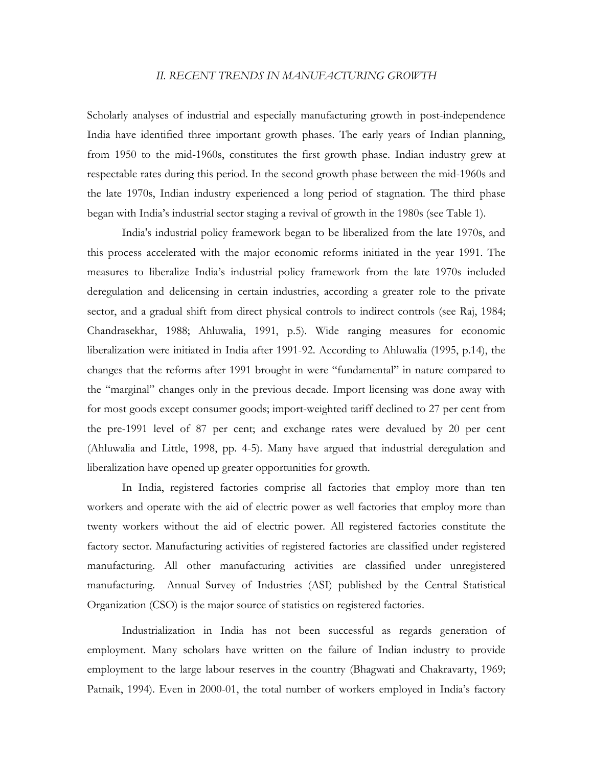### *II. RECENT TRENDS IN MANUFACTURING GROWTH*

Scholarly analyses of industrial and especially manufacturing growth in post-independence India have identified three important growth phases. The early years of Indian planning, from 1950 to the mid-1960s, constitutes the first growth phase. Indian industry grew at respectable rates during this period. In the second growth phase between the mid-1960s and the late 1970s, Indian industry experienced a long period of stagnation. The third phase began with India's industrial sector staging a revival of growth in the 1980s (see Table 1).

India's industrial policy framework began to be liberalized from the late 1970s, and this process accelerated with the major economic reforms initiated in the year 1991. The measures to liberalize India's industrial policy framework from the late 1970s included deregulation and delicensing in certain industries, according a greater role to the private sector, and a gradual shift from direct physical controls to indirect controls (see Raj, 1984; Chandrasekhar, 1988; Ahluwalia, 1991, p.5). Wide ranging measures for economic liberalization were initiated in India after 1991-92. According to Ahluwalia (1995, p.14), the changes that the reforms after 1991 brought in were "fundamental" in nature compared to the "marginal" changes only in the previous decade. Import licensing was done away with for most goods except consumer goods; import-weighted tariff declined to 27 per cent from the pre-1991 level of 87 per cent; and exchange rates were devalued by 20 per cent (Ahluwalia and Little, 1998, pp. 4-5). Many have argued that industrial deregulation and liberalization have opened up greater opportunities for growth.

In India, registered factories comprise all factories that employ more than ten workers and operate with the aid of electric power as well factories that employ more than twenty workers without the aid of electric power. All registered factories constitute the factory sector. Manufacturing activities of registered factories are classified under registered manufacturing. All other manufacturing activities are classified under unregistered manufacturing. Annual Survey of Industries (ASI) published by the Central Statistical Organization (CSO) is the major source of statistics on registered factories.

Industrialization in India has not been successful as regards generation of employment. Many scholars have written on the failure of Indian industry to provide employment to the large labour reserves in the country (Bhagwati and Chakravarty, 1969; Patnaik, 1994). Even in 2000-01, the total number of workers employed in India's factory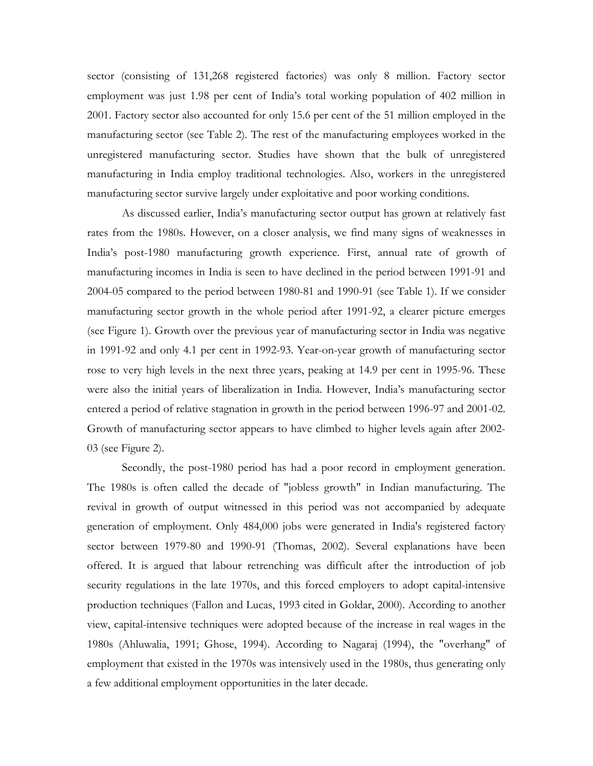sector (consisting of 131,268 registered factories) was only 8 million. Factory sector employment was just 1.98 per cent of India's total working population of 402 million in 2001. Factory sector also accounted for only 15.6 per cent of the 51 million employed in the manufacturing sector (see Table 2). The rest of the manufacturing employees worked in the unregistered manufacturing sector. Studies have shown that the bulk of unregistered manufacturing in India employ traditional technologies. Also, workers in the unregistered manufacturing sector survive largely under exploitative and poor working conditions.

As discussed earlier, India's manufacturing sector output has grown at relatively fast rates from the 1980s. However, on a closer analysis, we find many signs of weaknesses in India's post-1980 manufacturing growth experience. First, annual rate of growth of manufacturing incomes in India is seen to have declined in the period between 1991-91 and 2004-05 compared to the period between 1980-81 and 1990-91 (see Table 1). If we consider manufacturing sector growth in the whole period after 1991-92, a clearer picture emerges (see Figure 1). Growth over the previous year of manufacturing sector in India was negative in 1991-92 and only 4.1 per cent in 1992-93. Year-on-year growth of manufacturing sector rose to very high levels in the next three years, peaking at 14.9 per cent in 1995-96. These were also the initial years of liberalization in India. However, India's manufacturing sector entered a period of relative stagnation in growth in the period between 1996-97 and 2001-02. Growth of manufacturing sector appears to have climbed to higher levels again after 2002- 03 (see Figure 2).

Secondly, the post-1980 period has had a poor record in employment generation. The 1980s is often called the decade of "jobless growth" in Indian manufacturing. The revival in growth of output witnessed in this period was not accompanied by adequate generation of employment. Only 484,000 jobs were generated in India's registered factory sector between 1979-80 and 1990-91 (Thomas, 2002). Several explanations have been offered. It is argued that labour retrenching was difficult after the introduction of job security regulations in the late 1970s, and this forced employers to adopt capital-intensive production techniques (Fallon and Lucas, 1993 cited in Goldar, 2000). According to another view, capital-intensive techniques were adopted because of the increase in real wages in the 1980s (Ahluwalia, 1991; Ghose, 1994). According to Nagaraj (1994), the "overhang" of employment that existed in the 1970s was intensively used in the 1980s, thus generating only a few additional employment opportunities in the later decade.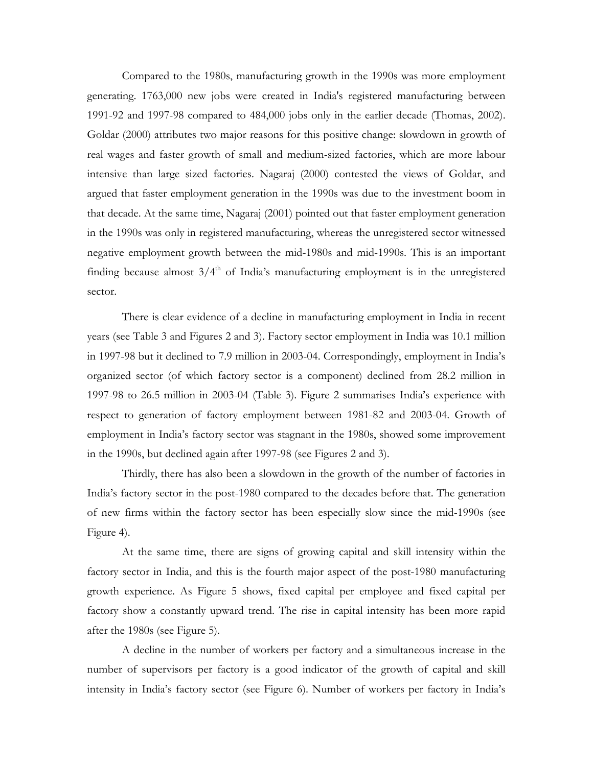Compared to the 1980s, manufacturing growth in the 1990s was more employment generating. 1763,000 new jobs were created in India's registered manufacturing between 1991-92 and 1997-98 compared to 484,000 jobs only in the earlier decade (Thomas, 2002). Goldar (2000) attributes two major reasons for this positive change: slowdown in growth of real wages and faster growth of small and medium-sized factories, which are more labour intensive than large sized factories. Nagaraj (2000) contested the views of Goldar, and argued that faster employment generation in the 1990s was due to the investment boom in that decade. At the same time, Nagaraj (2001) pointed out that faster employment generation in the 1990s was only in registered manufacturing, whereas the unregistered sector witnessed negative employment growth between the mid-1980s and mid-1990s. This is an important finding because almost  $3/4<sup>th</sup>$  of India's manufacturing employment is in the unregistered sector.

There is clear evidence of a decline in manufacturing employment in India in recent years (see Table 3 and Figures 2 and 3). Factory sector employment in India was 10.1 million in 1997-98 but it declined to 7.9 million in 2003-04. Correspondingly, employment in India's organized sector (of which factory sector is a component) declined from 28.2 million in 1997-98 to 26.5 million in 2003-04 (Table 3). Figure 2 summarises India's experience with respect to generation of factory employment between 1981-82 and 2003-04. Growth of employment in India's factory sector was stagnant in the 1980s, showed some improvement in the 1990s, but declined again after 1997-98 (see Figures 2 and 3).

Thirdly, there has also been a slowdown in the growth of the number of factories in India's factory sector in the post-1980 compared to the decades before that. The generation of new firms within the factory sector has been especially slow since the mid-1990s (see Figure 4).

At the same time, there are signs of growing capital and skill intensity within the factory sector in India, and this is the fourth major aspect of the post-1980 manufacturing growth experience. As Figure 5 shows, fixed capital per employee and fixed capital per factory show a constantly upward trend. The rise in capital intensity has been more rapid after the 1980s (see Figure 5).

A decline in the number of workers per factory and a simultaneous increase in the number of supervisors per factory is a good indicator of the growth of capital and skill intensity in India's factory sector (see Figure 6). Number of workers per factory in India's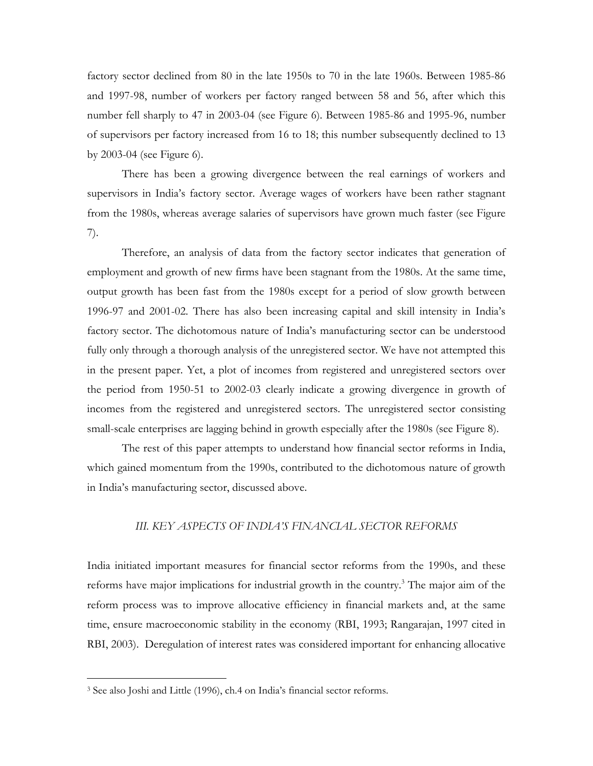factory sector declined from 80 in the late 1950s to 70 in the late 1960s. Between 1985-86 and 1997-98, number of workers per factory ranged between 58 and 56, after which this number fell sharply to 47 in 2003-04 (see Figure 6). Between 1985-86 and 1995-96, number of supervisors per factory increased from 16 to 18; this number subsequently declined to 13 by 2003-04 (see Figure 6).

There has been a growing divergence between the real earnings of workers and supervisors in India's factory sector. Average wages of workers have been rather stagnant from the 1980s, whereas average salaries of supervisors have grown much faster (see Figure 7).

Therefore, an analysis of data from the factory sector indicates that generation of employment and growth of new firms have been stagnant from the 1980s. At the same time, output growth has been fast from the 1980s except for a period of slow growth between 1996-97 and 2001-02. There has also been increasing capital and skill intensity in India's factory sector. The dichotomous nature of India's manufacturing sector can be understood fully only through a thorough analysis of the unregistered sector. We have not attempted this in the present paper. Yet, a plot of incomes from registered and unregistered sectors over the period from 1950-51 to 2002-03 clearly indicate a growing divergence in growth of incomes from the registered and unregistered sectors. The unregistered sector consisting small-scale enterprises are lagging behind in growth especially after the 1980s (see Figure 8).

The rest of this paper attempts to understand how financial sector reforms in India, which gained momentum from the 1990s, contributed to the dichotomous nature of growth in India's manufacturing sector, discussed above.

### *III. KEY ASPECTS OF INDIA'S FINANCIAL SECTOR REFORMS*

India initiated important measures for financial sector reforms from the 1990s, and these reforms have major implications for industrial growth in the country.<sup>3</sup> The major aim of the reform process was to improve allocative efficiency in financial markets and, at the same time, ensure macroeconomic stability in the economy (RBI, 1993; Rangarajan, 1997 cited in RBI, 2003). Deregulation of interest rates was considered important for enhancing allocative

 $\overline{a}$ 

<sup>3</sup> See also Joshi and Little (1996), ch.4 on India's financial sector reforms.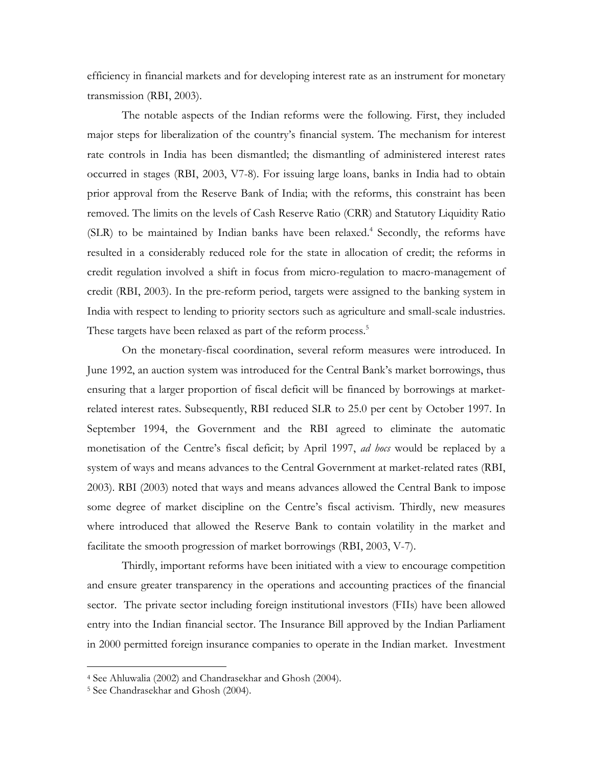efficiency in financial markets and for developing interest rate as an instrument for monetary transmission (RBI, 2003).

The notable aspects of the Indian reforms were the following. First, they included major steps for liberalization of the country's financial system. The mechanism for interest rate controls in India has been dismantled; the dismantling of administered interest rates occurred in stages (RBI, 2003, V7-8). For issuing large loans, banks in India had to obtain prior approval from the Reserve Bank of India; with the reforms, this constraint has been removed. The limits on the levels of Cash Reserve Ratio (CRR) and Statutory Liquidity Ratio (SLR) to be maintained by Indian banks have been relaxed.<sup>4</sup> Secondly, the reforms have resulted in a considerably reduced role for the state in allocation of credit; the reforms in credit regulation involved a shift in focus from micro-regulation to macro-management of credit (RBI, 2003). In the pre-reform period, targets were assigned to the banking system in India with respect to lending to priority sectors such as agriculture and small-scale industries. These targets have been relaxed as part of the reform process.<sup>5</sup>

On the monetary-fiscal coordination, several reform measures were introduced. In June 1992, an auction system was introduced for the Central Bank's market borrowings, thus ensuring that a larger proportion of fiscal deficit will be financed by borrowings at marketrelated interest rates. Subsequently, RBI reduced SLR to 25.0 per cent by October 1997. In September 1994, the Government and the RBI agreed to eliminate the automatic monetisation of the Centre's fiscal deficit; by April 1997, *ad hocs* would be replaced by a system of ways and means advances to the Central Government at market-related rates (RBI, 2003). RBI (2003) noted that ways and means advances allowed the Central Bank to impose some degree of market discipline on the Centre's fiscal activism. Thirdly, new measures where introduced that allowed the Reserve Bank to contain volatility in the market and facilitate the smooth progression of market borrowings (RBI, 2003, V-7).

Thirdly, important reforms have been initiated with a view to encourage competition and ensure greater transparency in the operations and accounting practices of the financial sector. The private sector including foreign institutional investors (FIIs) have been allowed entry into the Indian financial sector. The Insurance Bill approved by the Indian Parliament in 2000 permitted foreign insurance companies to operate in the Indian market. Investment

 $\overline{a}$ 

<sup>4</sup> See Ahluwalia (2002) and Chandrasekhar and Ghosh (2004).

<sup>5</sup> See Chandrasekhar and Ghosh (2004).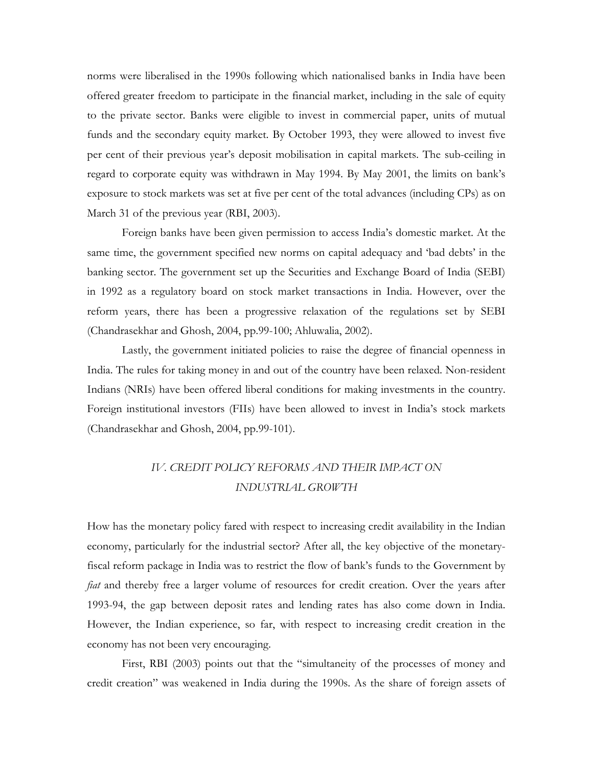norms were liberalised in the 1990s following which nationalised banks in India have been offered greater freedom to participate in the financial market, including in the sale of equity to the private sector. Banks were eligible to invest in commercial paper, units of mutual funds and the secondary equity market. By October 1993, they were allowed to invest five per cent of their previous year's deposit mobilisation in capital markets. The sub-ceiling in regard to corporate equity was withdrawn in May 1994. By May 2001, the limits on bank's exposure to stock markets was set at five per cent of the total advances (including CPs) as on March 31 of the previous year (RBI, 2003).

Foreign banks have been given permission to access India's domestic market. At the same time, the government specified new norms on capital adequacy and 'bad debts' in the banking sector. The government set up the Securities and Exchange Board of India (SEBI) in 1992 as a regulatory board on stock market transactions in India. However, over the reform years, there has been a progressive relaxation of the regulations set by SEBI (Chandrasekhar and Ghosh, 2004, pp.99-100; Ahluwalia, 2002).

Lastly, the government initiated policies to raise the degree of financial openness in India. The rules for taking money in and out of the country have been relaxed. Non-resident Indians (NRIs) have been offered liberal conditions for making investments in the country. Foreign institutional investors (FIIs) have been allowed to invest in India's stock markets (Chandrasekhar and Ghosh, 2004, pp.99-101).

## *IV. CREDIT POLICY REFORMS AND THEIR IMPACT ON INDUSTRIAL GROWTH*

How has the monetary policy fared with respect to increasing credit availability in the Indian economy, particularly for the industrial sector? After all, the key objective of the monetaryfiscal reform package in India was to restrict the flow of bank's funds to the Government by *fiat* and thereby free a larger volume of resources for credit creation. Over the years after 1993-94, the gap between deposit rates and lending rates has also come down in India. However, the Indian experience, so far, with respect to increasing credit creation in the economy has not been very encouraging.

First, RBI (2003) points out that the "simultaneity of the processes of money and credit creation" was weakened in India during the 1990s. As the share of foreign assets of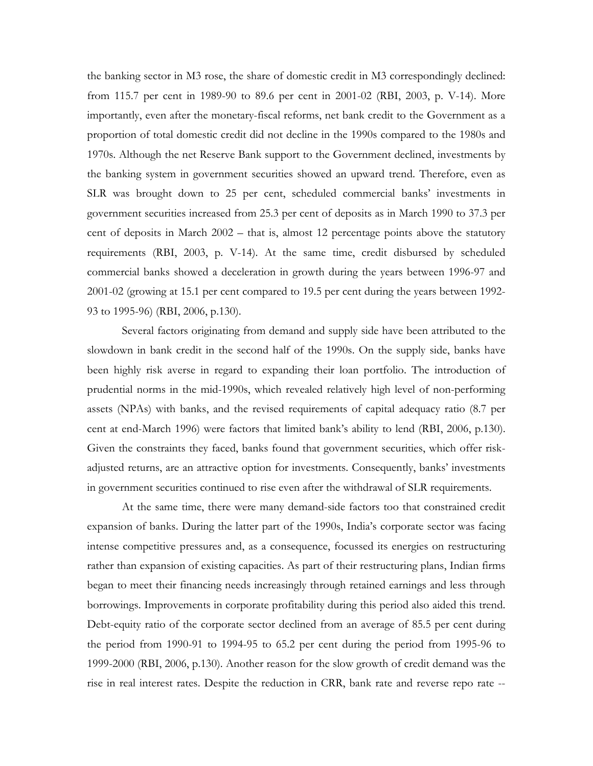the banking sector in M3 rose, the share of domestic credit in M3 correspondingly declined: from 115.7 per cent in 1989-90 to 89.6 per cent in 2001-02 (RBI, 2003, p. V-14). More importantly, even after the monetary-fiscal reforms, net bank credit to the Government as a proportion of total domestic credit did not decline in the 1990s compared to the 1980s and 1970s. Although the net Reserve Bank support to the Government declined, investments by the banking system in government securities showed an upward trend. Therefore, even as SLR was brought down to 25 per cent, scheduled commercial banks' investments in government securities increased from 25.3 per cent of deposits as in March 1990 to 37.3 per cent of deposits in March 2002 – that is, almost 12 percentage points above the statutory requirements (RBI, 2003, p. V-14). At the same time, credit disbursed by scheduled commercial banks showed a deceleration in growth during the years between 1996-97 and 2001-02 (growing at 15.1 per cent compared to 19.5 per cent during the years between 1992- 93 to 1995-96) (RBI, 2006, p.130).

Several factors originating from demand and supply side have been attributed to the slowdown in bank credit in the second half of the 1990s. On the supply side, banks have been highly risk averse in regard to expanding their loan portfolio. The introduction of prudential norms in the mid-1990s, which revealed relatively high level of non-performing assets (NPAs) with banks, and the revised requirements of capital adequacy ratio (8.7 per cent at end-March 1996) were factors that limited bank's ability to lend (RBI, 2006, p.130). Given the constraints they faced, banks found that government securities, which offer riskadjusted returns, are an attractive option for investments. Consequently, banks' investments in government securities continued to rise even after the withdrawal of SLR requirements.

At the same time, there were many demand-side factors too that constrained credit expansion of banks. During the latter part of the 1990s, India's corporate sector was facing intense competitive pressures and, as a consequence, focussed its energies on restructuring rather than expansion of existing capacities. As part of their restructuring plans, Indian firms began to meet their financing needs increasingly through retained earnings and less through borrowings. Improvements in corporate profitability during this period also aided this trend. Debt-equity ratio of the corporate sector declined from an average of 85.5 per cent during the period from 1990-91 to 1994-95 to 65.2 per cent during the period from 1995-96 to 1999-2000 (RBI, 2006, p.130). Another reason for the slow growth of credit demand was the rise in real interest rates. Despite the reduction in CRR, bank rate and reverse repo rate --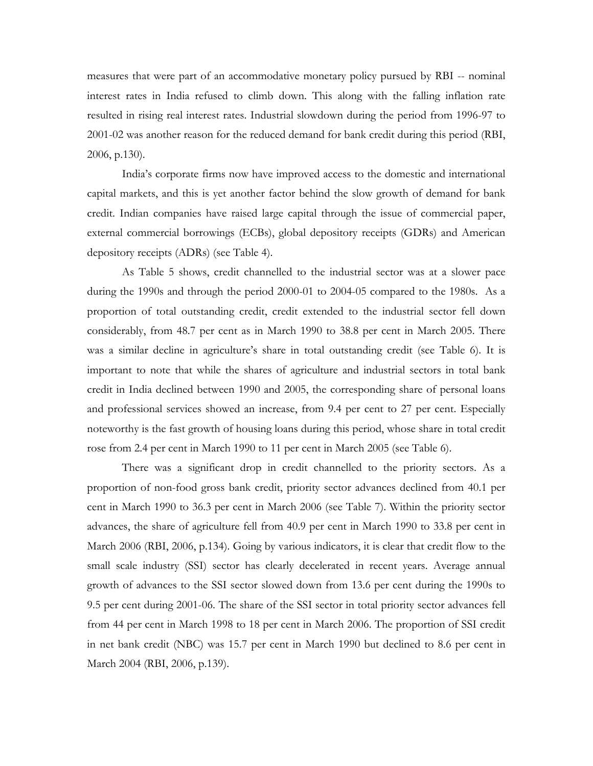measures that were part of an accommodative monetary policy pursued by RBI -- nominal interest rates in India refused to climb down. This along with the falling inflation rate resulted in rising real interest rates. Industrial slowdown during the period from 1996-97 to 2001-02 was another reason for the reduced demand for bank credit during this period (RBI, 2006, p.130).

India's corporate firms now have improved access to the domestic and international capital markets, and this is yet another factor behind the slow growth of demand for bank credit. Indian companies have raised large capital through the issue of commercial paper, external commercial borrowings (ECBs), global depository receipts (GDRs) and American depository receipts (ADRs) (see Table 4).

 As Table 5 shows, credit channelled to the industrial sector was at a slower pace during the 1990s and through the period 2000-01 to 2004-05 compared to the 1980s. As a proportion of total outstanding credit, credit extended to the industrial sector fell down considerably, from 48.7 per cent as in March 1990 to 38.8 per cent in March 2005. There was a similar decline in agriculture's share in total outstanding credit (see Table 6). It is important to note that while the shares of agriculture and industrial sectors in total bank credit in India declined between 1990 and 2005, the corresponding share of personal loans and professional services showed an increase, from 9.4 per cent to 27 per cent. Especially noteworthy is the fast growth of housing loans during this period, whose share in total credit rose from 2.4 per cent in March 1990 to 11 per cent in March 2005 (see Table 6).

There was a significant drop in credit channelled to the priority sectors. As a proportion of non-food gross bank credit, priority sector advances declined from 40.1 per cent in March 1990 to 36.3 per cent in March 2006 (see Table 7). Within the priority sector advances, the share of agriculture fell from 40.9 per cent in March 1990 to 33.8 per cent in March 2006 (RBI, 2006, p.134). Going by various indicators, it is clear that credit flow to the small scale industry (SSI) sector has clearly decelerated in recent years. Average annual growth of advances to the SSI sector slowed down from 13.6 per cent during the 1990s to 9.5 per cent during 2001-06. The share of the SSI sector in total priority sector advances fell from 44 per cent in March 1998 to 18 per cent in March 2006. The proportion of SSI credit in net bank credit (NBC) was 15.7 per cent in March 1990 but declined to 8.6 per cent in March 2004 (RBI, 2006, p.139).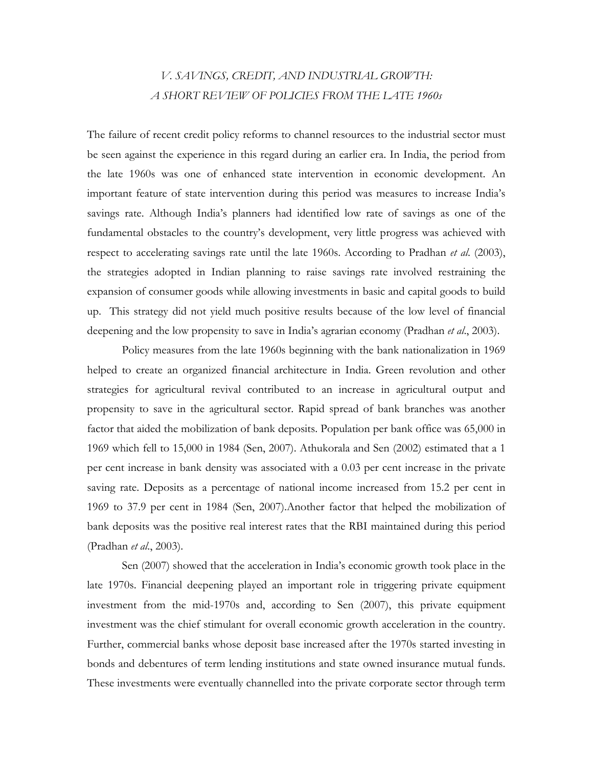# *V. SAVINGS, CREDIT, AND INDUSTRIAL GROWTH: A SHORT REVIEW OF POLICIES FROM THE LATE 1960s*

The failure of recent credit policy reforms to channel resources to the industrial sector must be seen against the experience in this regard during an earlier era. In India, the period from the late 1960s was one of enhanced state intervention in economic development. An important feature of state intervention during this period was measures to increase India's savings rate. Although India's planners had identified low rate of savings as one of the fundamental obstacles to the country's development, very little progress was achieved with respect to accelerating savings rate until the late 1960s. According to Pradhan *et al*. (2003), the strategies adopted in Indian planning to raise savings rate involved restraining the expansion of consumer goods while allowing investments in basic and capital goods to build up. This strategy did not yield much positive results because of the low level of financial deepening and the low propensity to save in India's agrarian economy (Pradhan *et al*., 2003).

Policy measures from the late 1960s beginning with the bank nationalization in 1969 helped to create an organized financial architecture in India. Green revolution and other strategies for agricultural revival contributed to an increase in agricultural output and propensity to save in the agricultural sector. Rapid spread of bank branches was another factor that aided the mobilization of bank deposits. Population per bank office was 65,000 in 1969 which fell to 15,000 in 1984 (Sen, 2007). Athukorala and Sen (2002) estimated that a 1 per cent increase in bank density was associated with a 0.03 per cent increase in the private saving rate. Deposits as a percentage of national income increased from 15.2 per cent in 1969 to 37.9 per cent in 1984 (Sen, 2007).Another factor that helped the mobilization of bank deposits was the positive real interest rates that the RBI maintained during this period (Pradhan *et al*., 2003).

Sen (2007) showed that the acceleration in India's economic growth took place in the late 1970s. Financial deepening played an important role in triggering private equipment investment from the mid-1970s and, according to Sen (2007), this private equipment investment was the chief stimulant for overall economic growth acceleration in the country. Further, commercial banks whose deposit base increased after the 1970s started investing in bonds and debentures of term lending institutions and state owned insurance mutual funds. These investments were eventually channelled into the private corporate sector through term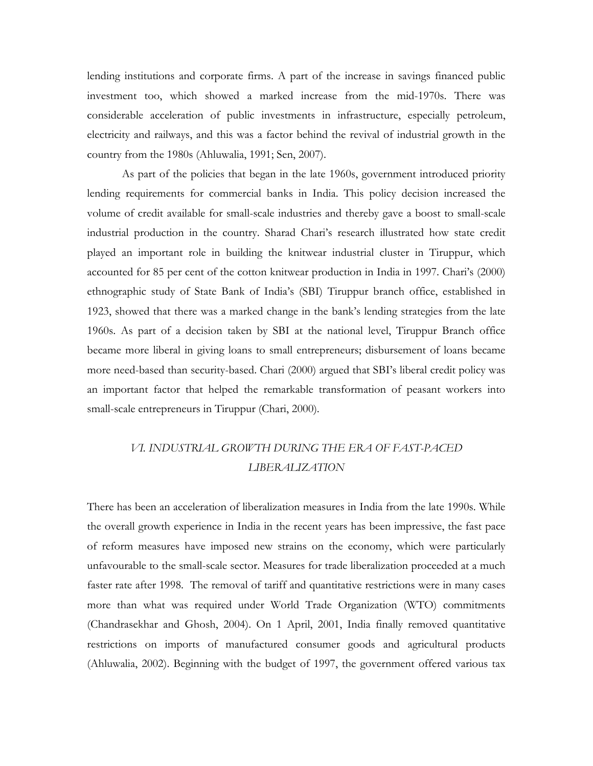lending institutions and corporate firms. A part of the increase in savings financed public investment too, which showed a marked increase from the mid-1970s. There was considerable acceleration of public investments in infrastructure, especially petroleum, electricity and railways, and this was a factor behind the revival of industrial growth in the country from the 1980s (Ahluwalia, 1991; Sen, 2007).

As part of the policies that began in the late 1960s, government introduced priority lending requirements for commercial banks in India. This policy decision increased the volume of credit available for small-scale industries and thereby gave a boost to small-scale industrial production in the country. Sharad Chari's research illustrated how state credit played an important role in building the knitwear industrial cluster in Tiruppur, which accounted for 85 per cent of the cotton knitwear production in India in 1997. Chari's (2000) ethnographic study of State Bank of India's (SBI) Tiruppur branch office, established in 1923, showed that there was a marked change in the bank's lending strategies from the late 1960s. As part of a decision taken by SBI at the national level, Tiruppur Branch office became more liberal in giving loans to small entrepreneurs; disbursement of loans became more need-based than security-based. Chari (2000) argued that SBI's liberal credit policy was an important factor that helped the remarkable transformation of peasant workers into small-scale entrepreneurs in Tiruppur (Chari, 2000).

# *VI. INDUSTRIAL GROWTH DURING THE ERA OF FAST-PACED LIBERALIZATION*

There has been an acceleration of liberalization measures in India from the late 1990s. While the overall growth experience in India in the recent years has been impressive, the fast pace of reform measures have imposed new strains on the economy, which were particularly unfavourable to the small-scale sector. Measures for trade liberalization proceeded at a much faster rate after 1998. The removal of tariff and quantitative restrictions were in many cases more than what was required under World Trade Organization (WTO) commitments (Chandrasekhar and Ghosh, 2004). On 1 April, 2001, India finally removed quantitative restrictions on imports of manufactured consumer goods and agricultural products (Ahluwalia, 2002). Beginning with the budget of 1997, the government offered various tax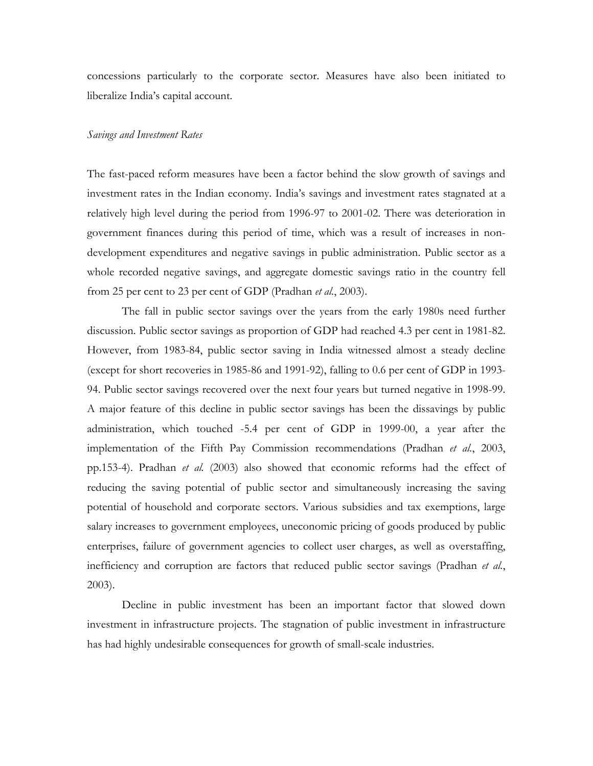concessions particularly to the corporate sector. Measures have also been initiated to liberalize India's capital account.

### *Savings and Investment Rates*

The fast-paced reform measures have been a factor behind the slow growth of savings and investment rates in the Indian economy. India's savings and investment rates stagnated at a relatively high level during the period from 1996-97 to 2001-02. There was deterioration in government finances during this period of time, which was a result of increases in nondevelopment expenditures and negative savings in public administration. Public sector as a whole recorded negative savings, and aggregate domestic savings ratio in the country fell from 25 per cent to 23 per cent of GDP (Pradhan *et al.*, 2003).

The fall in public sector savings over the years from the early 1980s need further discussion. Public sector savings as proportion of GDP had reached 4.3 per cent in 1981-82. However, from 1983-84, public sector saving in India witnessed almost a steady decline (except for short recoveries in 1985-86 and 1991-92), falling to 0.6 per cent of GDP in 1993- 94. Public sector savings recovered over the next four years but turned negative in 1998-99. A major feature of this decline in public sector savings has been the dissavings by public administration, which touched -5.4 per cent of GDP in 1999-00, a year after the implementation of the Fifth Pay Commission recommendations (Pradhan *et al.*, 2003, pp.153-4). Pradhan *et al.* (2003) also showed that economic reforms had the effect of reducing the saving potential of public sector and simultaneously increasing the saving potential of household and corporate sectors. Various subsidies and tax exemptions, large salary increases to government employees, uneconomic pricing of goods produced by public enterprises, failure of government agencies to collect user charges, as well as overstaffing, inefficiency and corruption are factors that reduced public sector savings (Pradhan *et al.*, 2003).

Decline in public investment has been an important factor that slowed down investment in infrastructure projects. The stagnation of public investment in infrastructure has had highly undesirable consequences for growth of small-scale industries.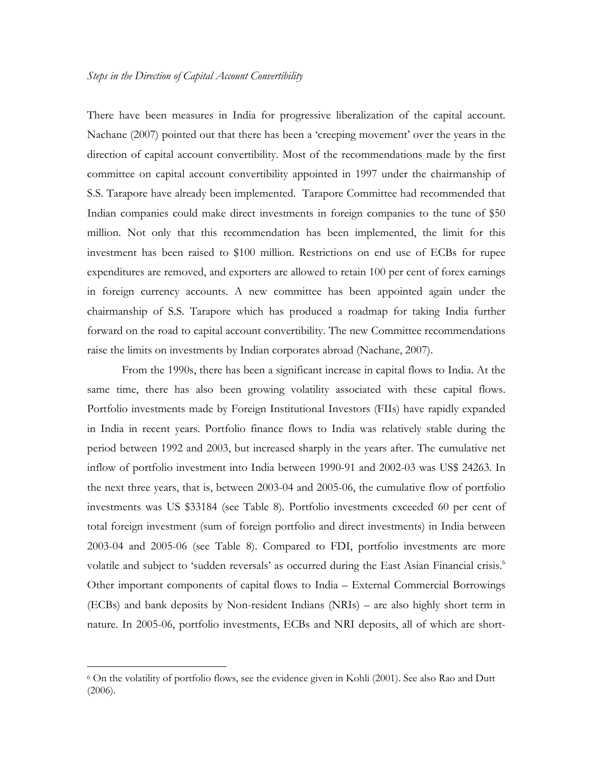There have been measures in India for progressive liberalization of the capital account. Nachane (2007) pointed out that there has been a 'creeping movement' over the years in the direction of capital account convertibility. Most of the recommendations made by the first committee on capital account convertibility appointed in 1997 under the chairmanship of S.S. Tarapore have already been implemented. Tarapore Committee had recommended that Indian companies could make direct investments in foreign companies to the tune of \$50 million. Not only that this recommendation has been implemented, the limit for this investment has been raised to \$100 million. Restrictions on end use of ECBs for rupee expenditures are removed, and exporters are allowed to retain 100 per cent of forex earnings in foreign currency accounts. A new committee has been appointed again under the chairmanship of S.S. Tarapore which has produced a roadmap for taking India further forward on the road to capital account convertibility. The new Committee recommendations raise the limits on investments by Indian corporates abroad (Nachane, 2007).

From the 1990s, there has been a significant increase in capital flows to India. At the same time, there has also been growing volatility associated with these capital flows. Portfolio investments made by Foreign Institutional Investors (FIIs) have rapidly expanded in India in recent years. Portfolio finance flows to India was relatively stable during the period between 1992 and 2003, but increased sharply in the years after. The cumulative net inflow of portfolio investment into India between 1990-91 and 2002-03 was US\$ 24263. In the next three years, that is, between 2003-04 and 2005-06, the cumulative flow of portfolio investments was US \$33184 (see Table 8). Portfolio investments exceeded 60 per cent of total foreign investment (sum of foreign portfolio and direct investments) in India between 2003-04 and 2005-06 (see Table 8). Compared to FDI, portfolio investments are more volatile and subject to 'sudden reversals' as occurred during the East Asian Financial crisis.<sup>6</sup> Other important components of capital flows to India – External Commercial Borrowings (ECBs) and bank deposits by Non-resident Indians (NRIs) – are also highly short term in nature. In 2005-06, portfolio investments, ECBs and NRI deposits, all of which are short-

-

<sup>6</sup> On the volatility of portfolio flows, see the evidence given in Kohli (2001). See also Rao and Dutt (2006).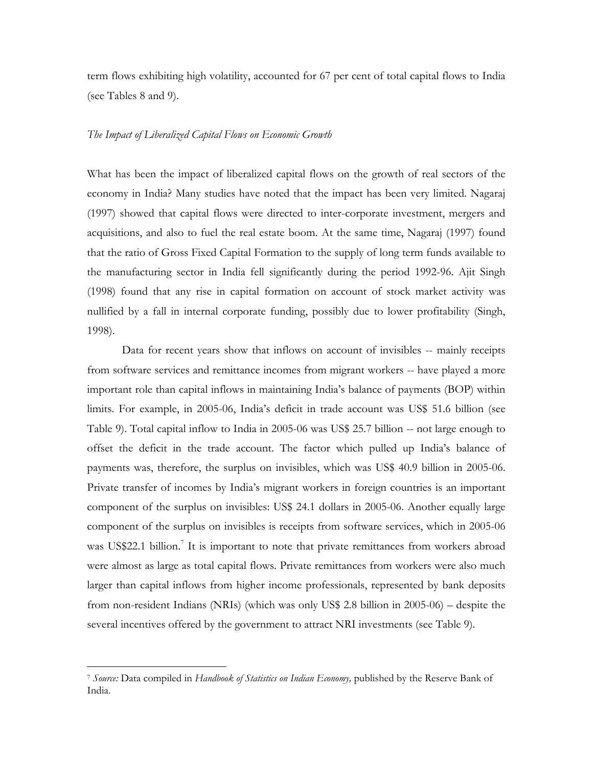term flows exhibiting high volatility, accounted for 67 per cent of total capital flows to India (see Tables 8 and 9).

### *The Impact of Liberalized Capital Flows on Economic Growth*

What has been the impact of liberalized capital flows on the growth of real sectors of the economy in India? Many studies have noted that the impact has been very limited. Nagaraj (1997) showed that capital flows were directed to inter-corporate investment, mergers and acquisitions, and also to fuel the real estate boom. At the same time, Nagaraj (1997) found that the ratio of Gross Fixed Capital Formation to the supply of long term funds available to the manufacturing sector in India fell significantly during the period 1992-96. Ajit Singh (1998) found that any rise in capital formation on account of stock market activity was nullified by a fall in internal corporate funding, possibly due to lower profitability (Singh, 1998).

 Data for recent years show that inflows on account of invisibles -- mainly receipts from software services and remittance incomes from migrant workers -- have played a more important role than capital inflows in maintaining India's balance of payments (BOP) within limits. For example, in 2005-06, India's deficit in trade account was US\$ 51.6 billion (see Table 9). Total capital inflow to India in 2005-06 was US\$ 25.7 billion -- not large enough to offset the deficit in the trade account. The factor which pulled up India's balance of payments was, therefore, the surplus on invisibles, which was US\$ 40.9 billion in 2005-06. Private transfer of incomes by India's migrant workers in foreign countries is an important component of the surplus on invisibles: US\$ 24.1 dollars in 2005-06. Another equally large component of the surplus on invisibles is receipts from software services, which in 2005-06 was US\$22.1 billion.<sup>7</sup> It is important to note that private remittances from workers abroad were almost as large as total capital flows. Private remittances from workers were also much larger than capital inflows from higher income professionals, represented by bank deposits from non-resident Indians (NRIs) (which was only US\$ 2.8 billion in 2005-06) – despite the several incentives offered by the government to attract NRI investments (see Table 9).

 $\overline{a}$ 

<sup>7</sup> *Source:* Data compiled in *Handbook of Statistics on Indian Economy,* published by the Reserve Bank of India.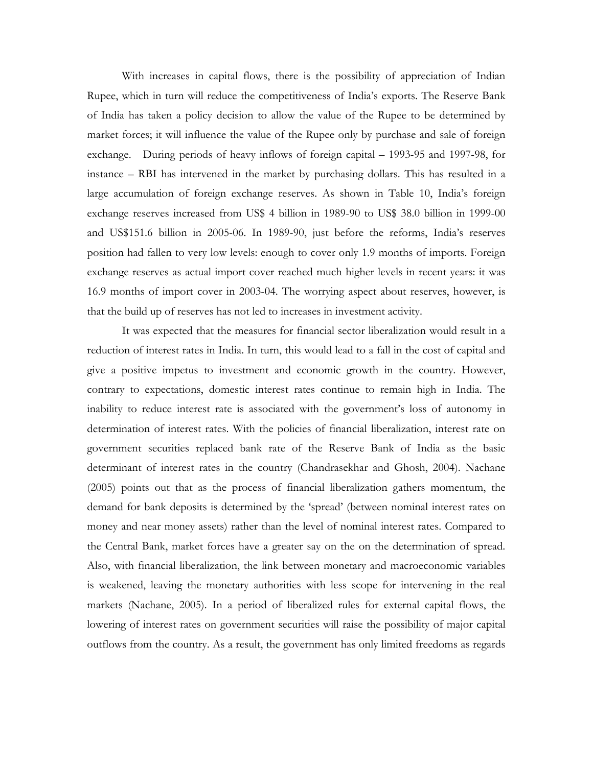With increases in capital flows, there is the possibility of appreciation of Indian Rupee, which in turn will reduce the competitiveness of India's exports. The Reserve Bank of India has taken a policy decision to allow the value of the Rupee to be determined by market forces; it will influence the value of the Rupee only by purchase and sale of foreign exchange. During periods of heavy inflows of foreign capital – 1993-95 and 1997-98, for instance – RBI has intervened in the market by purchasing dollars. This has resulted in a large accumulation of foreign exchange reserves. As shown in Table 10, India's foreign exchange reserves increased from US\$ 4 billion in 1989-90 to US\$ 38.0 billion in 1999-00 and US\$151.6 billion in 2005-06. In 1989-90, just before the reforms, India's reserves position had fallen to very low levels: enough to cover only 1.9 months of imports. Foreign exchange reserves as actual import cover reached much higher levels in recent years: it was 16.9 months of import cover in 2003-04. The worrying aspect about reserves, however, is that the build up of reserves has not led to increases in investment activity.

It was expected that the measures for financial sector liberalization would result in a reduction of interest rates in India. In turn, this would lead to a fall in the cost of capital and give a positive impetus to investment and economic growth in the country. However, contrary to expectations, domestic interest rates continue to remain high in India. The inability to reduce interest rate is associated with the government's loss of autonomy in determination of interest rates. With the policies of financial liberalization, interest rate on government securities replaced bank rate of the Reserve Bank of India as the basic determinant of interest rates in the country (Chandrasekhar and Ghosh, 2004). Nachane (2005) points out that as the process of financial liberalization gathers momentum, the demand for bank deposits is determined by the 'spread' (between nominal interest rates on money and near money assets) rather than the level of nominal interest rates. Compared to the Central Bank, market forces have a greater say on the on the determination of spread. Also, with financial liberalization, the link between monetary and macroeconomic variables is weakened, leaving the monetary authorities with less scope for intervening in the real markets (Nachane, 2005). In a period of liberalized rules for external capital flows, the lowering of interest rates on government securities will raise the possibility of major capital outflows from the country. As a result, the government has only limited freedoms as regards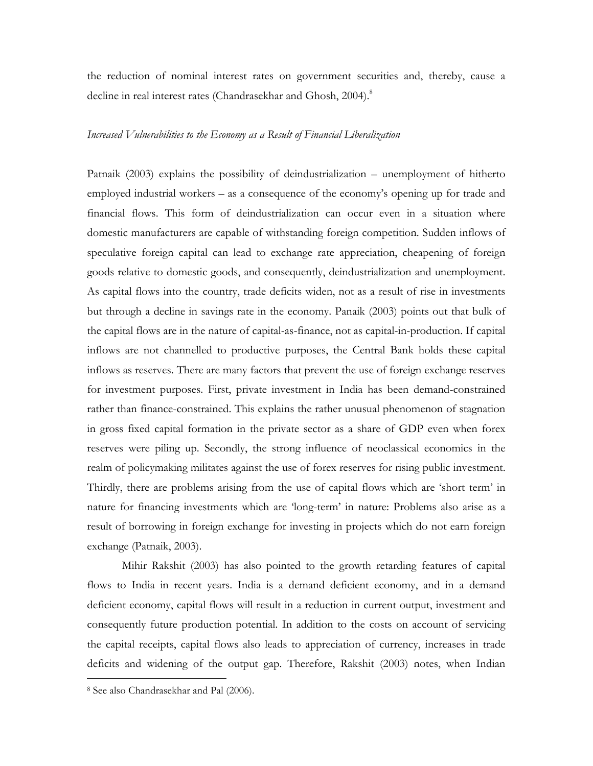the reduction of nominal interest rates on government securities and, thereby, cause a decline in real interest rates (Chandrasekhar and Ghosh, 2004).<sup>8</sup>

### *Increased Vulnerabilities to the Economy as a Result of Financial Liberalization*

Patnaik (2003) explains the possibility of deindustrialization – unemployment of hitherto employed industrial workers – as a consequence of the economy's opening up for trade and financial flows. This form of deindustrialization can occur even in a situation where domestic manufacturers are capable of withstanding foreign competition. Sudden inflows of speculative foreign capital can lead to exchange rate appreciation, cheapening of foreign goods relative to domestic goods, and consequently, deindustrialization and unemployment. As capital flows into the country, trade deficits widen, not as a result of rise in investments but through a decline in savings rate in the economy. Panaik (2003) points out that bulk of the capital flows are in the nature of capital-as-finance, not as capital-in-production. If capital inflows are not channelled to productive purposes, the Central Bank holds these capital inflows as reserves. There are many factors that prevent the use of foreign exchange reserves for investment purposes. First, private investment in India has been demand-constrained rather than finance-constrained. This explains the rather unusual phenomenon of stagnation in gross fixed capital formation in the private sector as a share of GDP even when forex reserves were piling up. Secondly, the strong influence of neoclassical economics in the realm of policymaking militates against the use of forex reserves for rising public investment. Thirdly, there are problems arising from the use of capital flows which are 'short term' in nature for financing investments which are 'long-term' in nature: Problems also arise as a result of borrowing in foreign exchange for investing in projects which do not earn foreign exchange (Patnaik, 2003).

Mihir Rakshit (2003) has also pointed to the growth retarding features of capital flows to India in recent years. India is a demand deficient economy, and in a demand deficient economy, capital flows will result in a reduction in current output, investment and consequently future production potential. In addition to the costs on account of servicing the capital receipts, capital flows also leads to appreciation of currency, increases in trade deficits and widening of the output gap. Therefore, Rakshit (2003) notes, when Indian

 $\overline{a}$ 

<sup>8</sup> See also Chandrasekhar and Pal (2006).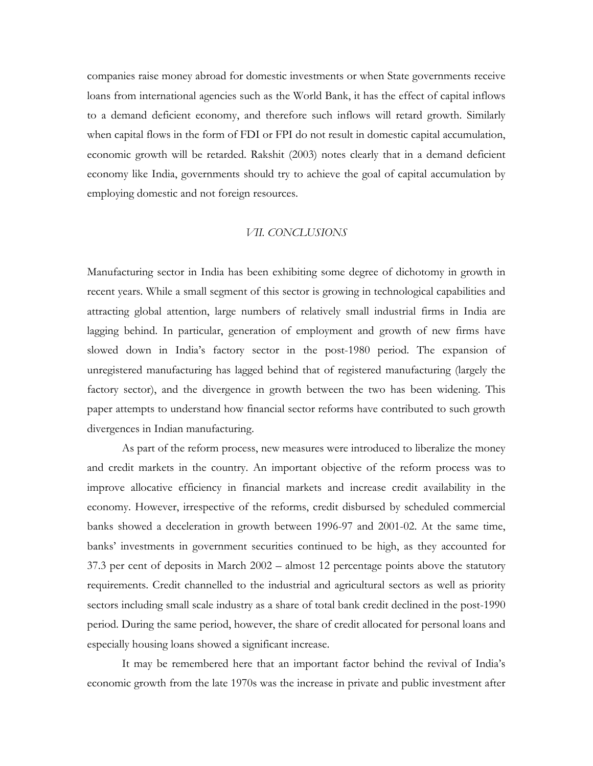companies raise money abroad for domestic investments or when State governments receive loans from international agencies such as the World Bank, it has the effect of capital inflows to a demand deficient economy, and therefore such inflows will retard growth. Similarly when capital flows in the form of FDI or FPI do not result in domestic capital accumulation, economic growth will be retarded. Rakshit (2003) notes clearly that in a demand deficient economy like India, governments should try to achieve the goal of capital accumulation by employing domestic and not foreign resources.

#### *VII. CONCLUSIONS*

Manufacturing sector in India has been exhibiting some degree of dichotomy in growth in recent years. While a small segment of this sector is growing in technological capabilities and attracting global attention, large numbers of relatively small industrial firms in India are lagging behind. In particular, generation of employment and growth of new firms have slowed down in India's factory sector in the post-1980 period. The expansion of unregistered manufacturing has lagged behind that of registered manufacturing (largely the factory sector), and the divergence in growth between the two has been widening. This paper attempts to understand how financial sector reforms have contributed to such growth divergences in Indian manufacturing.

As part of the reform process, new measures were introduced to liberalize the money and credit markets in the country. An important objective of the reform process was to improve allocative efficiency in financial markets and increase credit availability in the economy. However, irrespective of the reforms, credit disbursed by scheduled commercial banks showed a deceleration in growth between 1996-97 and 2001-02. At the same time, banks' investments in government securities continued to be high, as they accounted for 37.3 per cent of deposits in March 2002 – almost 12 percentage points above the statutory requirements. Credit channelled to the industrial and agricultural sectors as well as priority sectors including small scale industry as a share of total bank credit declined in the post-1990 period. During the same period, however, the share of credit allocated for personal loans and especially housing loans showed a significant increase.

It may be remembered here that an important factor behind the revival of India's economic growth from the late 1970s was the increase in private and public investment after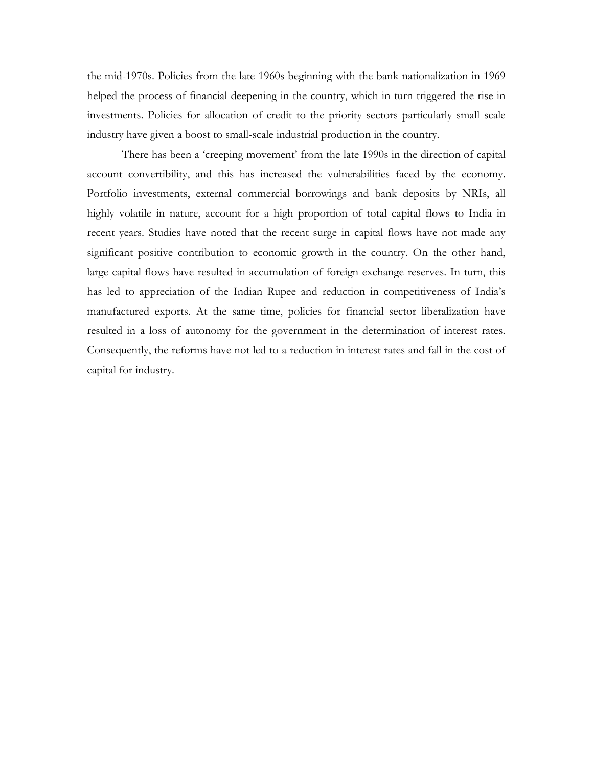the mid-1970s. Policies from the late 1960s beginning with the bank nationalization in 1969 helped the process of financial deepening in the country, which in turn triggered the rise in investments. Policies for allocation of credit to the priority sectors particularly small scale industry have given a boost to small-scale industrial production in the country.

There has been a 'creeping movement' from the late 1990s in the direction of capital account convertibility, and this has increased the vulnerabilities faced by the economy. Portfolio investments, external commercial borrowings and bank deposits by NRIs, all highly volatile in nature, account for a high proportion of total capital flows to India in recent years. Studies have noted that the recent surge in capital flows have not made any significant positive contribution to economic growth in the country. On the other hand, large capital flows have resulted in accumulation of foreign exchange reserves. In turn, this has led to appreciation of the Indian Rupee and reduction in competitiveness of India's manufactured exports. At the same time, policies for financial sector liberalization have resulted in a loss of autonomy for the government in the determination of interest rates. Consequently, the reforms have not led to a reduction in interest rates and fall in the cost of capital for industry.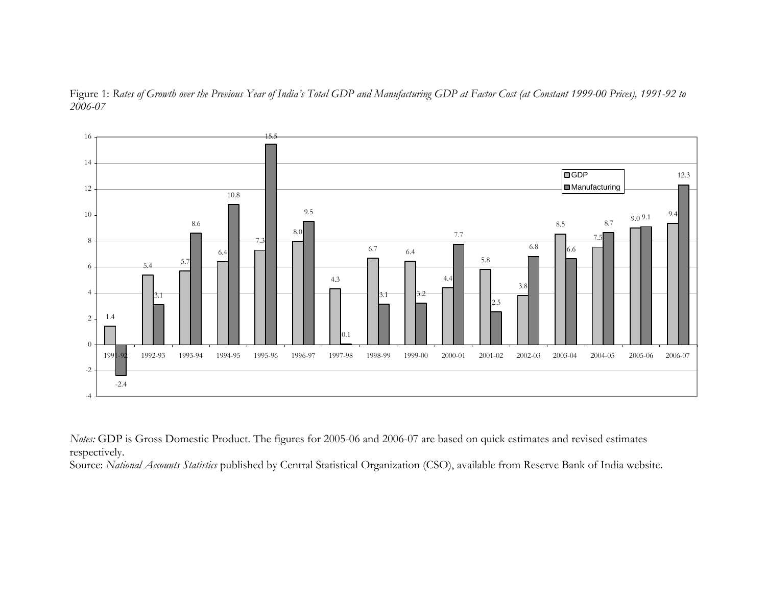



*Notes:* GDP is Gross Domestic Product. The figures for 2005-06 and 2006-07 are based on quick estimates and revised estimates respectively.

Source: *National Accounts Statistics* published by Central Statistical Organization (CSO), available from Reserve Bank of India website.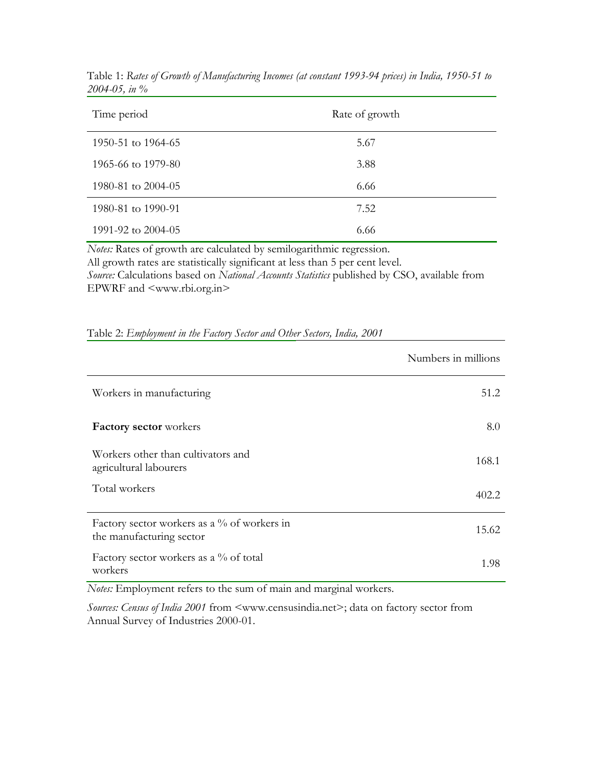| Time period          | Rate of growth |
|----------------------|----------------|
| 1950-51 to 1964-65   | 5.67           |
| 1965-66 to 1979-80   | 3.88           |
| 1980-81 to 2004-05   | 6.66           |
| 1980-81 to 1990-91   | 7.52           |
| 1991-92 to $2004-05$ | 6.66           |

Table 1: *Rates of Growth of Manufacturing Incomes (at constant 1993-94 prices) in India, 1950-51 to 2004-05, in %* 

*Notes:* Rates of growth are calculated by semilogarithmic regression. All growth rates are statistically significant at less than 5 per cent level. *Source:* Calculations based on *National Accounts Statistics* published by CSO, available from EPWRF and <www.rbi.org.in>

|                                                                         | Numbers in millions |
|-------------------------------------------------------------------------|---------------------|
| Workers in manufacturing                                                | 51.2                |
| Factory sector workers                                                  | 8.0                 |
| Workers other than cultivators and<br>agricultural labourers            | 168.1               |
| Total workers                                                           | 402.2               |
| Factory sector workers as a % of workers in<br>the manufacturing sector | 15.62               |
| Factory sector workers as a % of total<br>workers                       | 1.98                |

Table 2: *Employment in the Factory Sector and Other Sectors, India, 2001* 

*Notes:* Employment refers to the sum of main and marginal workers.

*Sources: Census of India 2001* from <www.censusindia.net>; data on factory sector from Annual Survey of Industries 2000-01.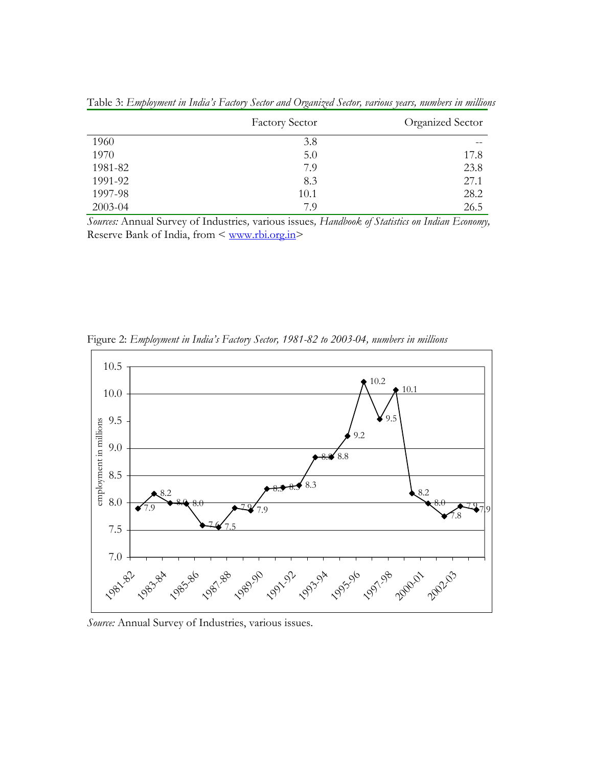|         | <b>Factory Sector</b> | Organized Sector |
|---------|-----------------------|------------------|
| 1960    | 3.8                   |                  |
| 1970    | 5.0                   | 17.8             |
| 1981-82 | 7.9                   | 23.8             |
| 1991-92 | 8.3                   | 27.1             |
| 1997-98 | 10.1                  | 28.2             |
| 2003-04 | 7.9                   | 26.5             |

Table 3: *Employment in India's Factory Sector and Organized Sector, various years, numbers in millions* 

*Sources:* Annual Survey of Industries*,* various issues*, Handbook of Statistics on Indian Economy,*  Reserve Bank of India, from < www.rbi.org.in>



Figure 2: *Employment in India's Factory Sector, 1981-82 to 2003-04, numbers in millions* 

*Source:* Annual Survey of Industries, various issues.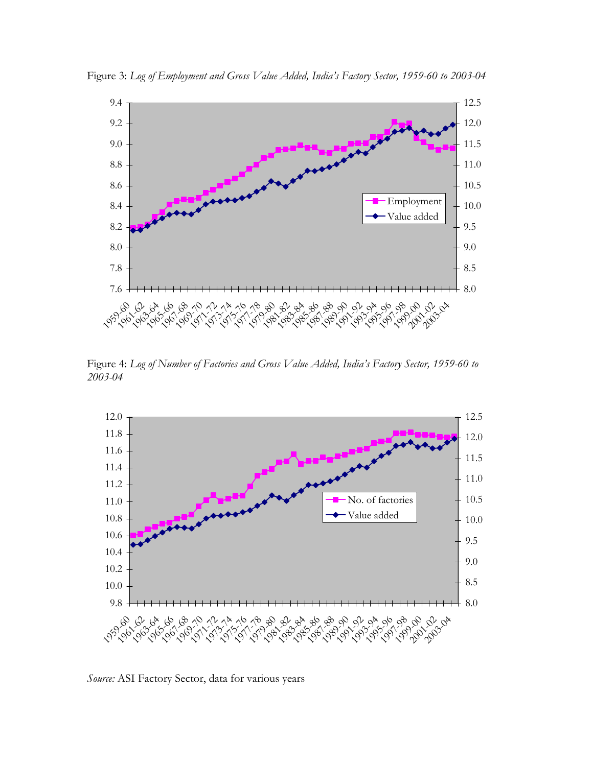

Figure 3: *Log of Employment and Gross Value Added, India's Factory Sector, 1959-60 to 2003-04*

Figure 4: *Log of Number of Factories and Gross Value Added, India's Factory Sector, 1959-60 to 2003-04* 



*Source:* ASI Factory Sector, data for various years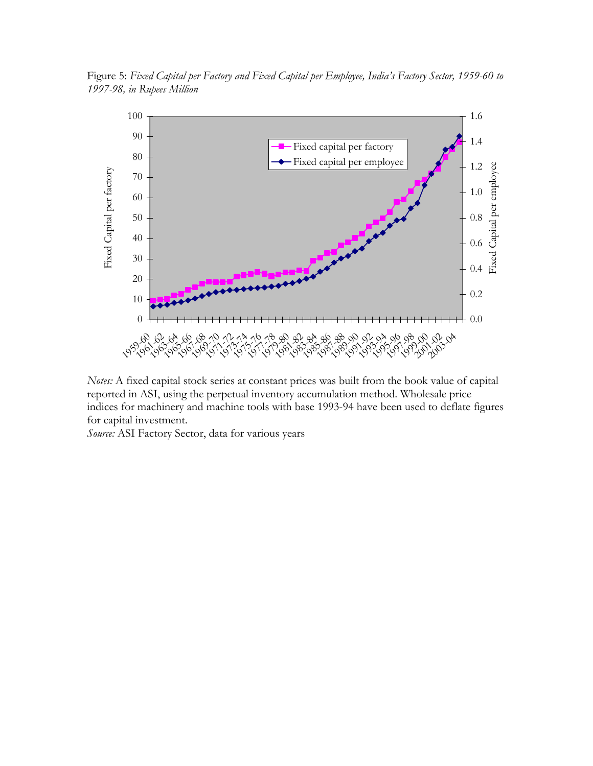Figure 5: *Fixed Capital per Factory and Fixed Capital per Employee, India's Factory Sector, 1959-60 to 1997-98, in Rupees Million* 



*Notes:* A fixed capital stock series at constant prices was built from the book value of capital reported in ASI, using the perpetual inventory accumulation method. Wholesale price indices for machinery and machine tools with base 1993-94 have been used to deflate figures for capital investment.

*Source:* ASI Factory Sector, data for various years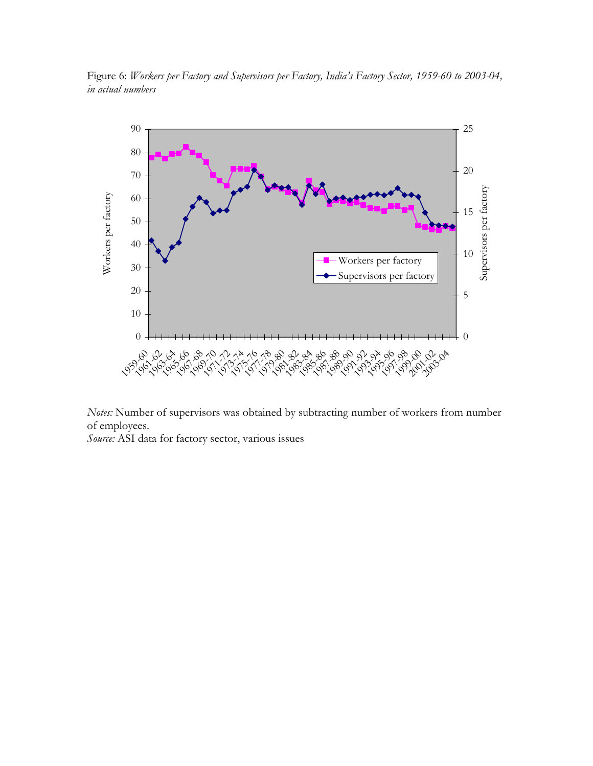

Figure 6: *Workers per Factory and Supervisors per Factory, India's Factory Sector, 1959-60 to 2003-04, in actual numbers* 

*Notes:* Number of supervisors was obtained by subtracting number of workers from number of employees.

*Source:* ASI data for factory sector, various issues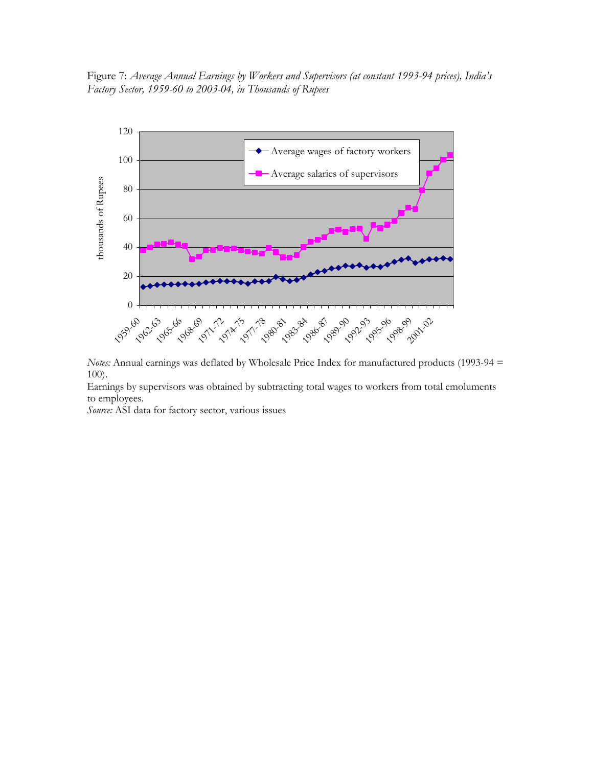Figure 7: *Average Annual Earnings by Workers and Supervisors (at constant 1993-94 prices), India's Factory Sector, 1959-60 to 2003-04, in Thousands of Rupees* 



*Notes:* Annual earnings was deflated by Wholesale Price Index for manufactured products (1993-94 = 100).

Earnings by supervisors was obtained by subtracting total wages to workers from total emoluments to employees.

*Source:* ASI data for factory sector, various issues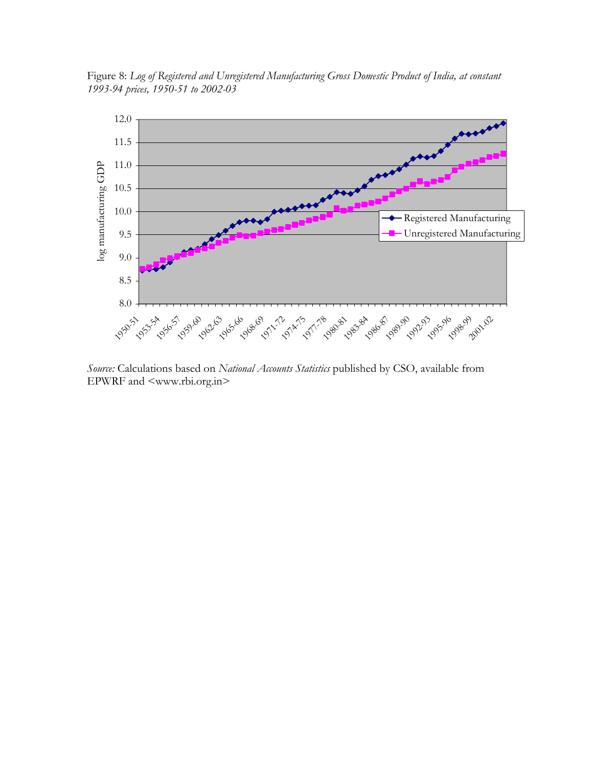Figure 8: *Log of Registered and Unregistered Manufacturing Gross Domestic Product of India, at constant 1993-94 prices, 1950-51 to 2002-03* 



*Source:* Calculations based on *National Accounts Statistics* published by CSO, available from EPWRF and <www.rbi.org.in>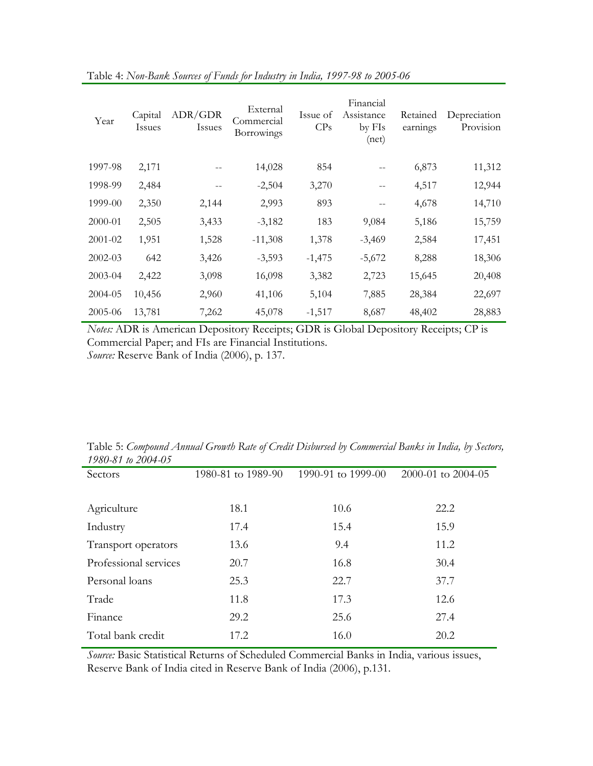| Year        | Capital<br>Issues | ADR/GDR<br>Issues | External<br>Commercial<br>Borrowings | Issue of<br>CPs | Financial<br>Assistance<br>by FIs<br>(net) | Retained<br>earnings | Depreciation<br>Provision |
|-------------|-------------------|-------------------|--------------------------------------|-----------------|--------------------------------------------|----------------------|---------------------------|
| 1997-98     | 2,171             |                   | 14,028                               | 854             |                                            | 6,873                | 11,312                    |
| 1998-99     | 2,484             |                   | $-2,504$                             | 3,270           |                                            | 4,517                | 12,944                    |
| 1999-00     | 2,350             | 2,144             | 2,993                                | 893             |                                            | 4,678                | 14,710                    |
| 2000-01     | 2,505             | 3,433             | $-3,182$                             | 183             | 9,084                                      | 5,186                | 15,759                    |
| $2001 - 02$ | 1,951             | 1,528             | $-11,308$                            | 1,378           | $-3,469$                                   | 2,584                | 17,451                    |
| $2002 - 03$ | 642               | 3,426             | $-3,593$                             | $-1,475$        | $-5,672$                                   | 8,288                | 18,306                    |
| $2003 - 04$ | 2,422             | 3,098             | 16,098                               | 3,382           | 2,723                                      | 15,645               | 20,408                    |
| 2004-05     | 10,456            | 2,960             | 41,106                               | 5,104           | 7,885                                      | 28,384               | 22,697                    |
| 2005-06     | 13,781            | 7,262             | 45,078                               | $-1,517$        | 8,687                                      | 48,402               | 28,883                    |

Table 4: *Non-Bank Sources of Funds for Industry in India, 1997-98 to 2005-06* 

*Notes:* ADR is American Depository Receipts; GDR is Global Depository Receipts; CP is Commercial Paper; and FIs are Financial Institutions. *Source:* Reserve Bank of India (2006), p. 137.

| Table 5: Compound Annual Growth Rate of Credit Disbursed by Commercial Banks in India, by Sectors, |  |
|----------------------------------------------------------------------------------------------------|--|
| 1980-81 to 2004-05                                                                                 |  |

| Sectors               | 1980-81 to 1989-90 | 1990-91 to 1999-00 | 2000-01 to 2004-05 |
|-----------------------|--------------------|--------------------|--------------------|
|                       |                    |                    |                    |
| Agriculture           | 18.1               | 10.6               | 22.2               |
| Industry              | 17.4               | 15.4               | 15.9               |
| Transport operators   | 13.6               | 9.4                | 11.2               |
| Professional services | 20.7               | 16.8               | 30.4               |
| Personal loans        | 25.3               | 22.7               | 37.7               |
| Trade                 | 11.8               | 17.3               | 12.6               |
| Finance               | 29.2               | 25.6               | 27.4               |
| Total bank credit     | 17.2               | 16.0               | 20.2               |

*Source:* Basic Statistical Returns of Scheduled Commercial Banks in India, various issues, Reserve Bank of India cited in Reserve Bank of India (2006), p.131.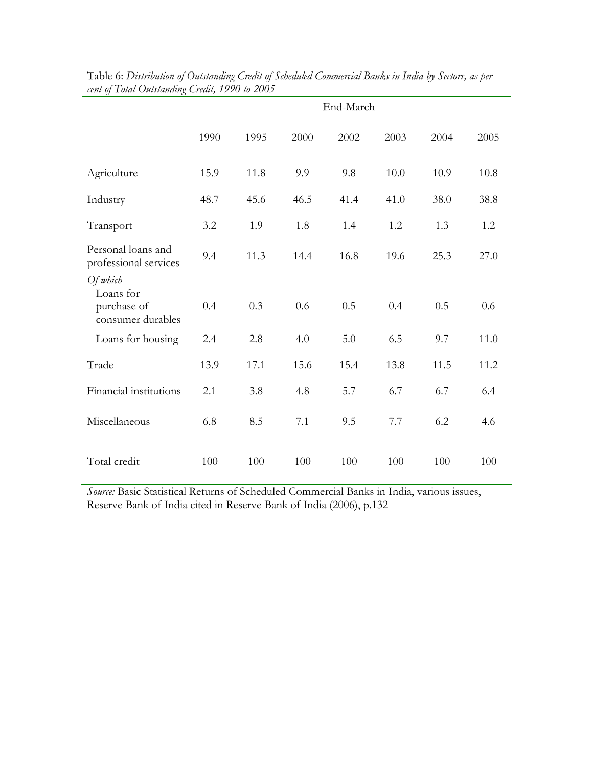|                                                           |      |      |      | End-March |      |      |      |
|-----------------------------------------------------------|------|------|------|-----------|------|------|------|
|                                                           | 1990 | 1995 | 2000 | 2002      | 2003 | 2004 | 2005 |
| Agriculture                                               | 15.9 | 11.8 | 9.9  | 9.8       | 10.0 | 10.9 | 10.8 |
| Industry                                                  | 48.7 | 45.6 | 46.5 | 41.4      | 41.0 | 38.0 | 38.8 |
| Transport                                                 | 3.2  | 1.9  | 1.8  | 1.4       | 1.2  | 1.3  | 1.2  |
| Personal loans and<br>professional services               | 9.4  | 11.3 | 14.4 | 16.8      | 19.6 | 25.3 | 27.0 |
| Of which<br>Loans for<br>purchase of<br>consumer durables | 0.4  | 0.3  | 0.6  | 0.5       | 0.4  | 0.5  | 0.6  |
| Loans for housing                                         | 2.4  | 2.8  | 4.0  | 5.0       | 6.5  | 9.7  | 11.0 |
| Trade                                                     | 13.9 | 17.1 | 15.6 | 15.4      | 13.8 | 11.5 | 11.2 |
| Financial institutions                                    | 2.1  | 3.8  | 4.8  | 5.7       | 6.7  | 6.7  | 6.4  |
| Miscellaneous                                             | 6.8  | 8.5  | 7.1  | 9.5       | 7.7  | 6.2  | 4.6  |
| Total credit                                              | 100  | 100  | 100  | 100       | 100  | 100  | 100  |

| Table 6: Distribution of Outstanding Credit of Scheduled Commercial Banks in India by Sectors, as per |  |
|-------------------------------------------------------------------------------------------------------|--|
| cent of Total Outstanding Credit, 1990 to 2005                                                        |  |

*Source:* Basic Statistical Returns of Scheduled Commercial Banks in India, various issues, Reserve Bank of India cited in Reserve Bank of India (2006), p.132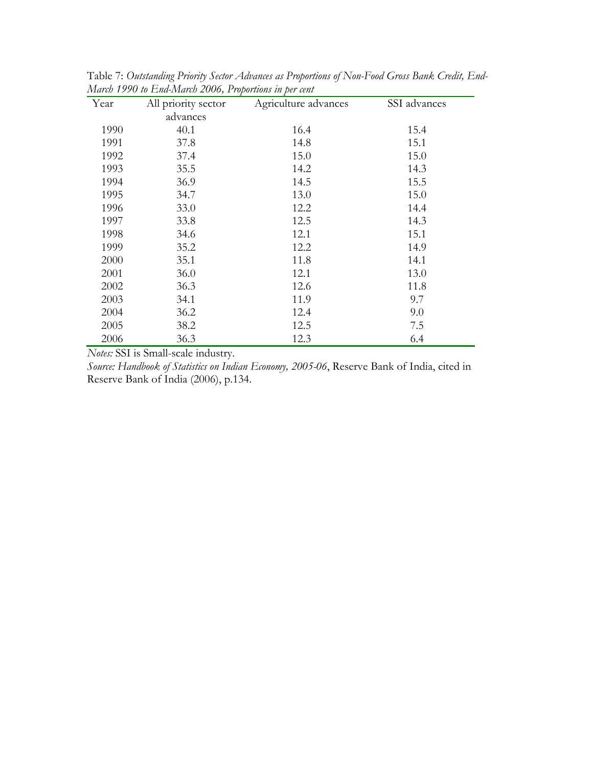| Year | All priority sector | Agriculture advances | SSI advances |
|------|---------------------|----------------------|--------------|
|      | advances            |                      |              |
| 1990 | 40.1                | 16.4                 | 15.4         |
| 1991 | 37.8                | 14.8                 | 15.1         |
| 1992 | 37.4                | 15.0                 | 15.0         |
| 1993 | 35.5                | 14.2                 | 14.3         |
| 1994 | 36.9                | 14.5                 | 15.5         |
| 1995 | 34.7                | 13.0                 | 15.0         |
| 1996 | 33.0                | 12.2                 | 14.4         |
| 1997 | 33.8                | 12.5                 | 14.3         |
| 1998 | 34.6                | 12.1                 | 15.1         |
| 1999 | 35.2                | 12.2                 | 14.9         |
| 2000 | 35.1                | 11.8                 | 14.1         |
| 2001 | 36.0                | 12.1                 | 13.0         |
| 2002 | 36.3                | 12.6                 | 11.8         |
| 2003 | 34.1                | 11.9                 | 9.7          |
| 2004 | 36.2                | 12.4                 | 9.0          |
| 2005 | 38.2                | 12.5                 | 7.5          |
| 2006 | 36.3                | 12.3                 | 6.4          |

Table 7: *Outstanding Priority Sector Advances as Proportions of Non-Food Gross Bank Credit, End-March 1990 to End-March 2006, Proportions in per cent* 

*Notes:* SSI is Small-scale industry.

*Source: Handbook of Statistics on Indian Economy, 2005-06*, Reserve Bank of India, cited in Reserve Bank of India (2006), p.134.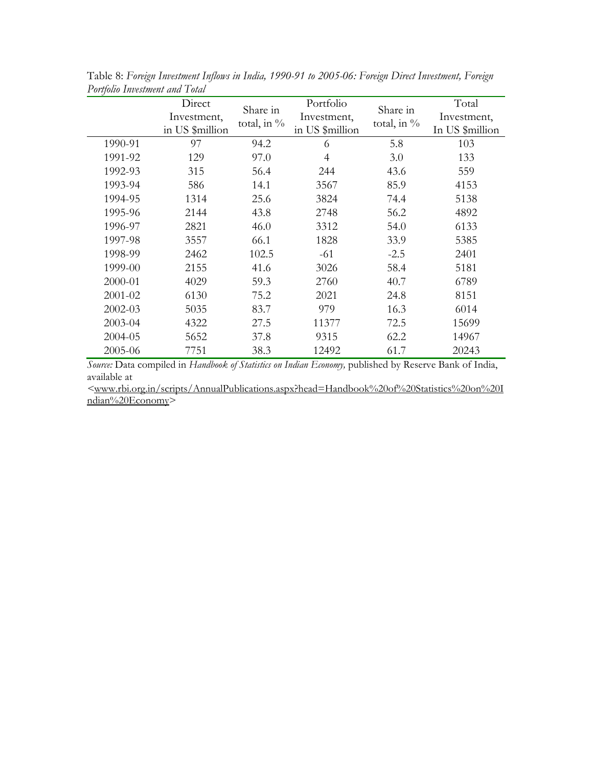|         | Direct<br>Investment, | Share in<br>total, in % | Portfolio<br>Investment, | Share in<br>total, in % | Total<br>Investment, |
|---------|-----------------------|-------------------------|--------------------------|-------------------------|----------------------|
|         | in US \$million       |                         | in US \$million          |                         | In US \$million      |
| 1990-91 | 97                    | 94.2                    | 6                        | 5.8                     | 103                  |
| 1991-92 | 129                   | 97.0                    | $\overline{4}$           | 3.0                     | 133                  |
| 1992-93 | 315                   | 56.4                    | 244                      | 43.6                    | 559                  |
| 1993-94 | 586                   | 14.1                    | 3567                     | 85.9                    | 4153                 |
| 1994-95 | 1314                  | 25.6                    | 3824                     | 74.4                    | 5138                 |
| 1995-96 | 2144                  | 43.8                    | 2748                     | 56.2                    | 4892                 |
| 1996-97 | 2821                  | 46.0                    | 3312                     | 54.0                    | 6133                 |
| 1997-98 | 3557                  | 66.1                    | 1828                     | 33.9                    | 5385                 |
| 1998-99 | 2462                  | 102.5                   | -61                      | $-2.5$                  | 2401                 |
| 1999-00 | 2155                  | 41.6                    | 3026                     | 58.4                    | 5181                 |
| 2000-01 | 4029                  | 59.3                    | 2760                     | 40.7                    | 6789                 |
| 2001-02 | 6130                  | 75.2                    | 2021                     | 24.8                    | 8151                 |
| 2002-03 | 5035                  | 83.7                    | 979                      | 16.3                    | 6014                 |
| 2003-04 | 4322                  | 27.5                    | 11377                    | 72.5                    | 15699                |
| 2004-05 | 5652                  | 37.8                    | 9315                     | 62.2                    | 14967                |
| 2005-06 | 7751                  | 38.3                    | 12492                    | 61.7                    | 20243                |

Table 8: *Foreign Investment Inflows in India, 1990-91 to 2005-06: Foreign Direct Investment, Foreign Portfolio Investment and Total*

*Source:* Data compiled in *Handbook of Statistics on Indian Economy,* published by Reserve Bank of India, available at

*<*www.rbi.org.in/scripts/AnnualPublications.aspx?head=Handbook%20of%20Statistics%20on%20I ndian%20Economy>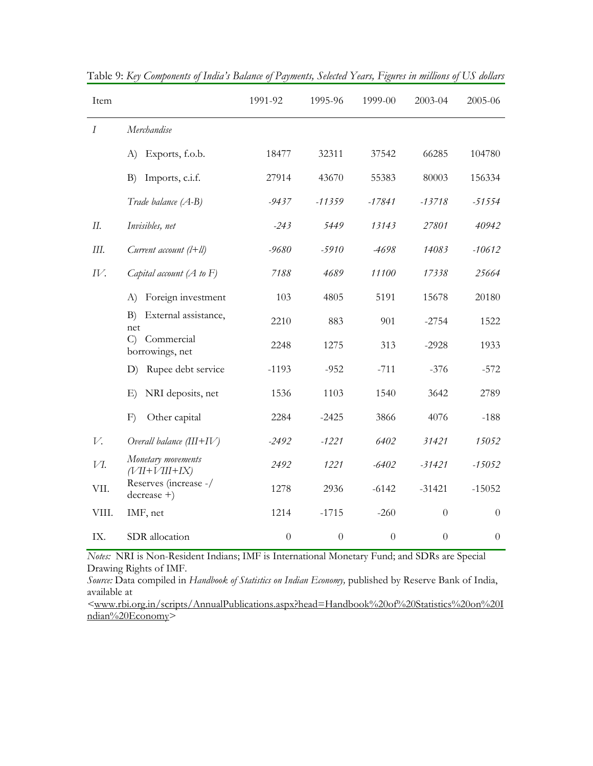| Item             |                                                | 1991-92  | 1995-96        | 1999-00          | 2003-04        | 2005-06  |
|------------------|------------------------------------------------|----------|----------------|------------------|----------------|----------|
| $\boldsymbol{I}$ | Merchandise                                    |          |                |                  |                |          |
|                  | A)<br>Exports, f.o.b.                          | 18477    | 32311          | 37542            | 66285          | 104780   |
|                  | B)<br>Imports, c.i.f.                          | 27914    | 43670          | 55383            | 80003          | 156334   |
|                  | Trade balance (A-B)                            | $-9437$  | $-11359$       | $-17841$         | $-13718$       | $-51554$ |
| П.               | Invisibles, net                                | $-243$   | 5449           | 13143            | 27801          | 40942    |
| Ш.               | Current account $(l+ll)$                       | $-9680$  | $-5910$        | -4698            | 14083          | $-10612$ |
| IV.              | Capital account $(A$ to $F)$                   | 7188     | 4689           | 11100            | 17338          | 25664    |
|                  | Foreign investment<br>A)                       | 103      | 4805           | 5191             | 15678          | 20180    |
|                  | External assistance,<br>B)<br>net              | 2210     | 883            | 901              | $-2754$        | 1522     |
|                  | Commercial<br>$\mathcal{C}$<br>borrowings, net | 2248     | 1275           | 313              | $-2928$        | 1933     |
|                  | D) Rupee debt service                          | $-1193$  | $-952$         | $-711$           | $-376$         | $-572$   |
|                  | NRI deposits, net<br>E)                        | 1536     | 1103           | 1540             | 3642           | 2789     |
|                  | F)<br>Other capital                            | 2284     | $-2425$        | 3866             | 4076           | $-188$   |
| V.               | Overall balance $(III+IV)$                     | $-2492$  | $-1221$        | 6402             | 31421          | 15052    |
| VI.              | Monetary movements<br>$(VII+VIII+IX)$          | 2492     | 1221           | $-6402$          | $-31421$       | $-15052$ |
| VII.             | Reserves (increase -/<br>$decrease +$ )        | 1278     | 2936           | $-6142$          | $-31421$       | $-15052$ |
| VIII.            | IMF, net                                       | 1214     | $-1715$        | $-260$           | $\overline{0}$ | $\theta$ |
| IX.              | SDR allocation                                 | $\theta$ | $\overline{0}$ | $\boldsymbol{0}$ | $\theta$       | $\theta$ |

Table 9: *Key Components of India's Balance of Payments, Selected Years, Figures in millions of US dollars* 

*Notes:* NRI is Non-Resident Indians; IMF is International Monetary Fund; and SDRs are Special Drawing Rights of IMF.

*Source:* Data compiled in *Handbook of Statistics on Indian Economy,* published by Reserve Bank of India, available at

*<*www.rbi.org.in/scripts/AnnualPublications.aspx?head=Handbook%20of%20Statistics%20on%20I ndian%20Economy>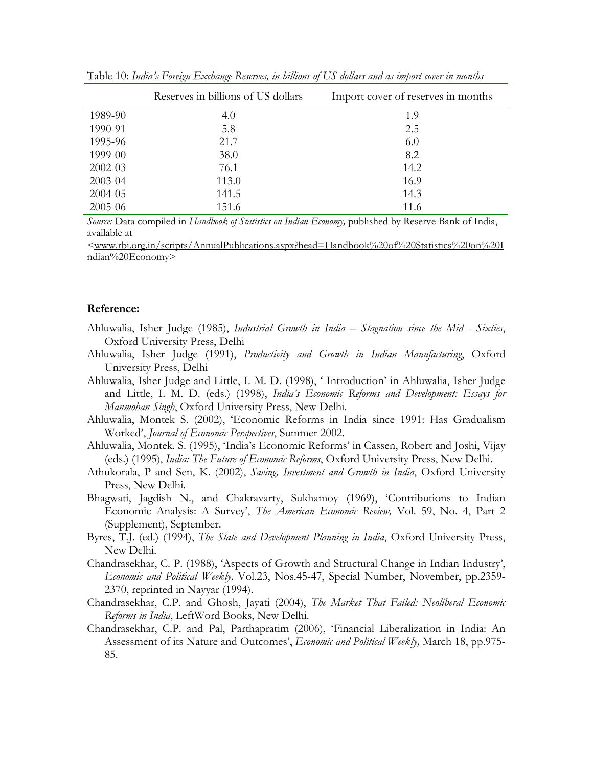|             | Reserves in billions of US dollars | Import cover of reserves in months |
|-------------|------------------------------------|------------------------------------|
| 1989-90     | 4.0                                | 1.9                                |
| 1990-91     | 5.8                                | 2.5                                |
| 1995-96     | 21.7                               | 6.0                                |
| 1999-00     | 38.0                               | 8.2                                |
| $2002 - 03$ | 76.1                               | 14.2                               |
| 2003-04     | 113.0                              | 16.9                               |
| 2004-05     | 141.5                              | 14.3                               |
| 2005-06     | 151.6                              | 11.6                               |

Table 10: *India's Foreign Exchange Reserves, in billions of US dollars and as import cover in months* 

*Source:* Data compiled in *Handbook of Statistics on Indian Economy,* published by Reserve Bank of India, available at

*<*www.rbi.org.in/scripts/AnnualPublications.aspx?head=Handbook%20of%20Statistics%20on%20I ndian%20Economy>

#### **Reference:**

- Ahluwalia, Isher Judge (1985), *Industrial Growth in India Stagnation since the Mid Sixties*, Oxford University Press, Delhi
- Ahluwalia, Isher Judge (1991), *Productivity and Growth in Indian Manufacturing*, Oxford University Press, Delhi
- Ahluwalia, Isher Judge and Little, I. M. D. (1998), ' Introduction' in Ahluwalia, Isher Judge and Little, I. M. D. (eds.) (1998), *India's Economic Reforms and Development: Essays for Manmohan Singh*, Oxford University Press, New Delhi.
- Ahluwalia, Montek S. (2002), 'Economic Reforms in India since 1991: Has Gradualism Worked', *Journal of Economic Perspectives*, Summer 2002.
- Ahluwalia, Montek. S. (1995), 'India's Economic Reforms' in Cassen, Robert and Joshi, Vijay (eds.) (1995), *India: The Future of Economic Reforms*, Oxford University Press, New Delhi.
- Athukorala, P and Sen, K. (2002), *Saving, Investment and Growth in India*, Oxford University Press, New Delhi.
- Bhagwati, Jagdish N., and Chakravarty, Sukhamoy (1969), 'Contributions to Indian Economic Analysis: A Survey', *The American Economic Review,* Vol. 59, No. 4, Part 2 (Supplement), September.
- Byres, T.J. (ed.) (1994), *The State and Development Planning in India*, Oxford University Press, New Delhi.
- Chandrasekhar, C. P. (1988), 'Aspects of Growth and Structural Change in Indian Industry', *Economic and Political Weekly,* Vol.23, Nos.45-47, Special Number, November, pp.2359- 2370, reprinted in Nayyar (1994).
- Chandrasekhar, C.P. and Ghosh, Jayati (2004), *The Market That Failed: Neoliberal Economic Reforms in India*, LeftWord Books, New Delhi.
- Chandrasekhar, C.P. and Pal, Parthapratim (2006), 'Financial Liberalization in India: An Assessment of its Nature and Outcomes', *Economic and Political Weekly,* March 18, pp.975- 85.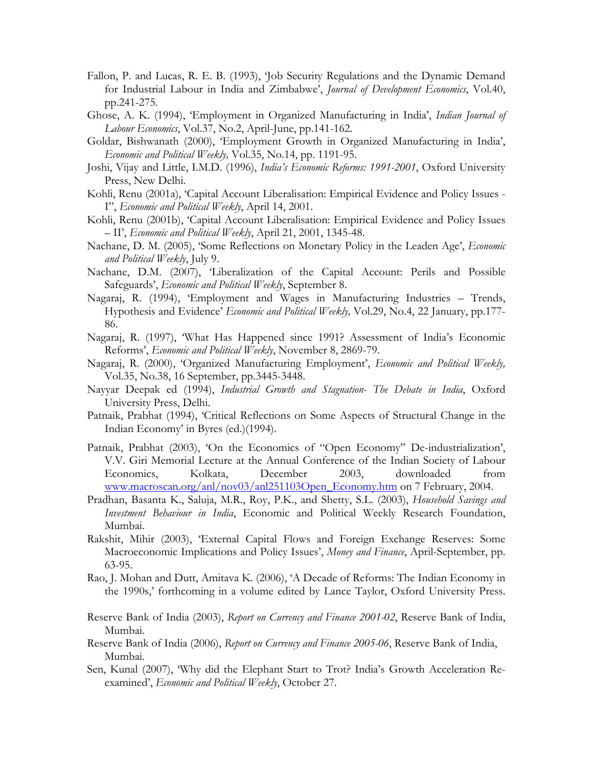- Fallon, P. and Lucas, R. E. B. (1993), 'Job Security Regulations and the Dynamic Demand for Industrial Labour in India and Zimbabwe', *Journal of Development Economics*, Vol.40, pp.241-275.
- Ghose, A. K. (1994), 'Employment in Organized Manufacturing in India', *Indian Journal of Labour Economics*, Vol.37, No.2, April-June, pp.141-162.
- Goldar, Bishwanath (2000), 'Employment Growth in Organized Manufacturing in India', *Economic and Political Weekly,* Vol.35, No.14, pp. 1191-95.
- Joshi, Vijay and Little, I.M.D. (1996), *India's Economic Reforms: 1991-2001*, Oxford University Press, New Delhi.
- Kohli, Renu (2001a), 'Capital Account Liberalisation: Empirical Evidence and Policy Issues I", *Economic and Political Weekly*, April 14, 2001.
- Kohli, Renu (2001b), 'Capital Account Liberalisation: Empirical Evidence and Policy Issues – II', *Economic and Political Weekly*, April 21, 2001, 1345-48.
- Nachane, D. M. (2005), 'Some Reflections on Monetary Policy in the Leaden Age', *Economic and Political Weekly*, July 9.
- Nachane, D.M. (2007), 'Liberalization of the Capital Account: Perils and Possible Safeguards', *Economic and Political Weekly*, September 8.
- Nagaraj, R. (1994), 'Employment and Wages in Manufacturing Industries Trends, Hypothesis and Evidence' *Economic and Political Weekly,* Vol.29, No.4, 22 January, pp.177- 86.
- Nagaraj, R. (1997), 'What Has Happened since 1991? Assessment of India's Economic Reforms', *Economic and Political Weekly*, November 8, 2869-79.
- Nagaraj, R. (2000), 'Organized Manufacturing Employment', *Economic and Political Weekly,*  Vol.35, No.38, 16 September, pp.3445-3448.
- Nayyar Deepak ed (1994), *Industrial Growth and Stagnation- The Debate in India*, Oxford University Press, Delhi.
- Patnaik, Prabhat (1994), 'Critical Reflections on Some Aspects of Structural Change in the Indian Economy' in Byres (ed.)(1994).
- Patnaik, Prabhat (2003), 'On the Economics of "Open Economy" De-industrialization', V.V. Giri Memorial Lecture at the Annual Conference of the Indian Society of Labour Economics, Kolkata, December 2003, downloaded from www.macroscan.org/anl/nov03/anl251103Open\_Economy.htm on 7 February, 2004.
- Pradhan, Basanta K., Saluja, M.R., Roy, P.K., and Shetty, S.L. (2003), *Household Savings and Investment Behaviour in India*, Economic and Political Weekly Research Foundation, Mumbai.
- Rakshit, Mihir (2003), 'External Capital Flows and Foreign Exchange Reserves: Some Macroeconomic Implications and Policy Issues', *Money and Finance*, April-September, pp. 63-95.
- Rao, J. Mohan and Dutt, Amitava K. (2006), 'A Decade of Reforms: The Indian Economy in the 1990s,' forthcoming in a volume edited by Lance Taylor, Oxford University Press.
- Reserve Bank of India (2003), *Report on Currency and Finance 2001-02*, Reserve Bank of India, Mumbai.
- Reserve Bank of India (2006), *Report on Currency and Finance 2005-06*, Reserve Bank of India, Mumbai.
- Sen, Kunal (2007), 'Why did the Elephant Start to Trot? India's Growth Acceleration Reexamined', *Economic and Political Weekly*, October 27.